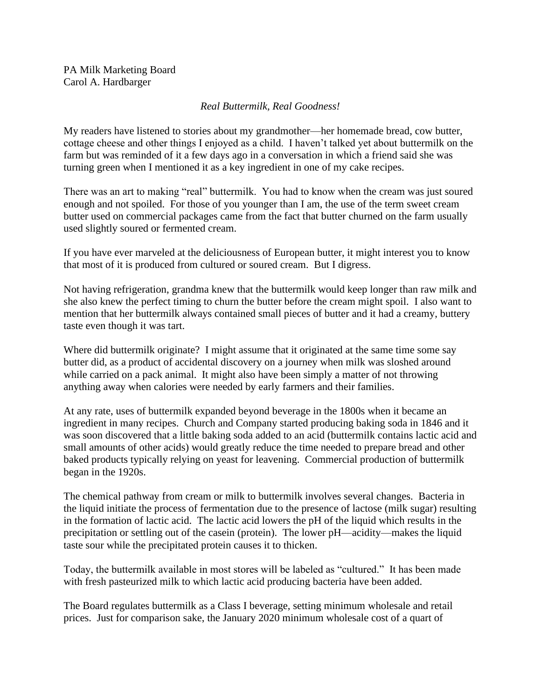PA Milk Marketing Board Carol A. Hardbarger

## *Real Buttermilk, Real Goodness!*

My readers have listened to stories about my grandmother—her homemade bread, cow butter, cottage cheese and other things I enjoyed as a child. I haven't talked yet about buttermilk on the farm but was reminded of it a few days ago in a conversation in which a friend said she was turning green when I mentioned it as a key ingredient in one of my cake recipes.

There was an art to making "real" buttermilk. You had to know when the cream was just soured enough and not spoiled. For those of you younger than I am, the use of the term sweet cream butter used on commercial packages came from the fact that butter churned on the farm usually used slightly soured or fermented cream.

If you have ever marveled at the deliciousness of European butter, it might interest you to know that most of it is produced from cultured or soured cream. But I digress.

Not having refrigeration, grandma knew that the buttermilk would keep longer than raw milk and she also knew the perfect timing to churn the butter before the cream might spoil. I also want to mention that her buttermilk always contained small pieces of butter and it had a creamy, buttery taste even though it was tart.

Where did buttermilk originate? I might assume that it originated at the same time some say butter did, as a product of accidental discovery on a journey when milk was sloshed around while carried on a pack animal. It might also have been simply a matter of not throwing anything away when calories were needed by early farmers and their families.

At any rate, uses of buttermilk expanded beyond beverage in the 1800s when it became an ingredient in many recipes. Church and Company started producing baking soda in 1846 and it was soon discovered that a little baking soda added to an acid (buttermilk contains lactic acid and small amounts of other acids) would greatly reduce the time needed to prepare bread and other baked products typically relying on yeast for leavening. Commercial production of buttermilk began in the 1920s.

The chemical pathway from cream or milk to buttermilk involves several changes. Bacteria in the liquid initiate the process of fermentation due to the presence of lactose (milk sugar) resulting in the formation of lactic acid. The lactic acid lowers the pH of the liquid which results in the precipitation or settling out of the casein (protein). The lower pH—acidity—makes the liquid taste sour while the precipitated protein causes it to thicken.

Today, the buttermilk available in most stores will be labeled as "cultured." It has been made with fresh pasteurized milk to which lactic acid producing bacteria have been added.

The Board regulates buttermilk as a Class I beverage, setting minimum wholesale and retail prices. Just for comparison sake, the January 2020 minimum wholesale cost of a quart of